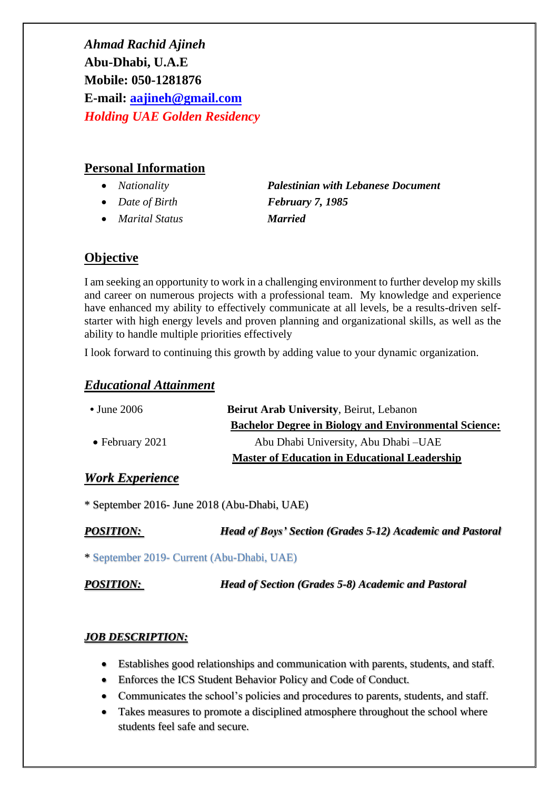*Ahmad Rachid Ajineh* **Abu-Dhabi, U.A.E Mobile: 050-1281876 E-mail: [aajineh@gmail.com](mailto:aajineh@gmail.com)** *Holding UAE Golden Residency*

## **Personal Information**

- 
- *Date of Birth February 7, 1985*
- *Marital Status Married*

• *Nationality Palestinian with Lebanese Document*

# **Objective**

I am seeking an opportunity to work in a challenging environment to further develop my skills and career on numerous projects with a professional team. My knowledge and experience have enhanced my ability to effectively communicate at all levels, be a results-driven selfstarter with high energy levels and proven planning and organizational skills, as well as the ability to handle multiple priorities effectively

I look forward to continuing this growth by adding value to your dynamic organization.

## *Educational Attainment*

| $\cdot$ June 2006       | <b>Beirut Arab University, Beirut, Lebanon</b>               |  |
|-------------------------|--------------------------------------------------------------|--|
|                         | <b>Bachelor Degree in Biology and Environmental Science:</b> |  |
| $\bullet$ February 2021 | Abu Dhabi University, Abu Dhabi – UAE                        |  |
|                         | <b>Master of Education in Educational Leadership</b>         |  |

## *Work Experience*

\* September 2016- June 2018 (Abu-Dhabi, UAE)

*POSITION: Head of Boys' Section (Grades 5-12) Academic and Pastoral*

\* September 2019- Current (Abu-Dhabi, UAE)

*POSITION: Head of Section (Grades 5-8) Academic and Pastoral*

# *JOB DESCRIPTION:*

- Establishes good relationships and communication with parents, students, and staff.
- Enforces the ICS Student Behavior Policy and Code of Conduct.
- Communicates the school's policies and procedures to parents, students, and staff.
- Takes measures to promote a disciplined atmosphere throughout the school where students feel safe and secure.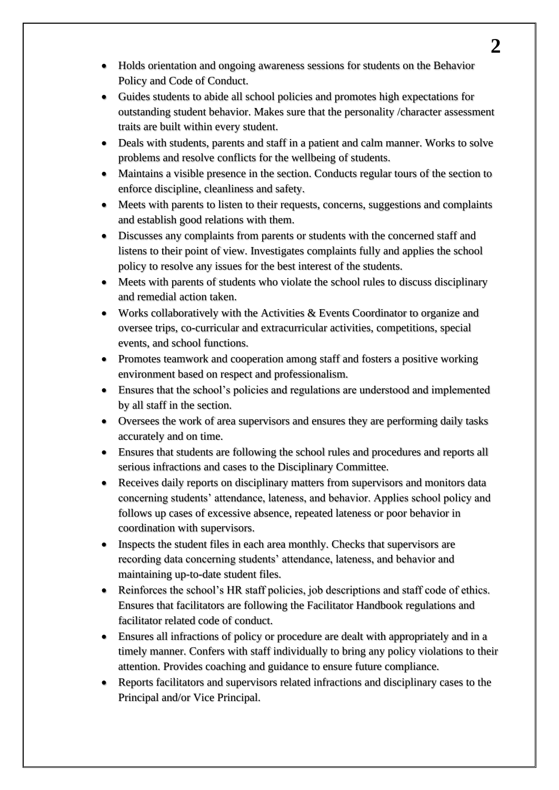- Holds orientation and ongoing awareness sessions for students on the Behavior Policy and Code of Conduct.
- Guides students to abide all school policies and promotes high expectations for outstanding student behavior. Makes sure that the personality /character assessment traits are built within every student.
- Deals with students, parents and staff in a patient and calm manner. Works to solve problems and resolve conflicts for the wellbeing of students.
- Maintains a visible presence in the section. Conducts regular tours of the section to enforce discipline, cleanliness and safety.
- Meets with parents to listen to their requests, concerns, suggestions and complaints and establish good relations with them.
- Discusses any complaints from parents or students with the concerned staff and listens to their point of view. Investigates complaints fully and applies the school policy to resolve any issues for the best interest of the students.
- Meets with parents of students who violate the school rules to discuss disciplinary and remedial action taken.
- Works collaboratively with the Activities & Events Coordinator to organize and oversee trips, co-curricular and extracurricular activities, competitions, special events, and school functions.
- Promotes teamwork and cooperation among staff and fosters a positive working environment based on respect and professionalism.
- Ensures that the school's policies and regulations are understood and implemented by all staff in the section.
- Oversees the work of area supervisors and ensures they are performing daily tasks accurately and on time.
- Ensures that students are following the school rules and procedures and reports all serious infractions and cases to the Disciplinary Committee.
- Receives daily reports on disciplinary matters from supervisors and monitors data concerning students' attendance, lateness, and behavior. Applies school policy and follows up cases of excessive absence, repeated lateness or poor behavior in coordination with supervisors.
- Inspects the student files in each area monthly. Checks that supervisors are recording data concerning students' attendance, lateness, and behavior and maintaining up-to-date student files.
- Reinforces the school's HR staff policies, job descriptions and staff code of ethics. Ensures that facilitators are following the Facilitator Handbook regulations and facilitator related code of conduct.
- Ensures all infractions of policy or procedure are dealt with appropriately and in a timely manner. Confers with staff individually to bring any policy violations to their attention. Provides coaching and guidance to ensure future compliance.
- Reports facilitators and supervisors related infractions and disciplinary cases to the Principal and/or Vice Principal.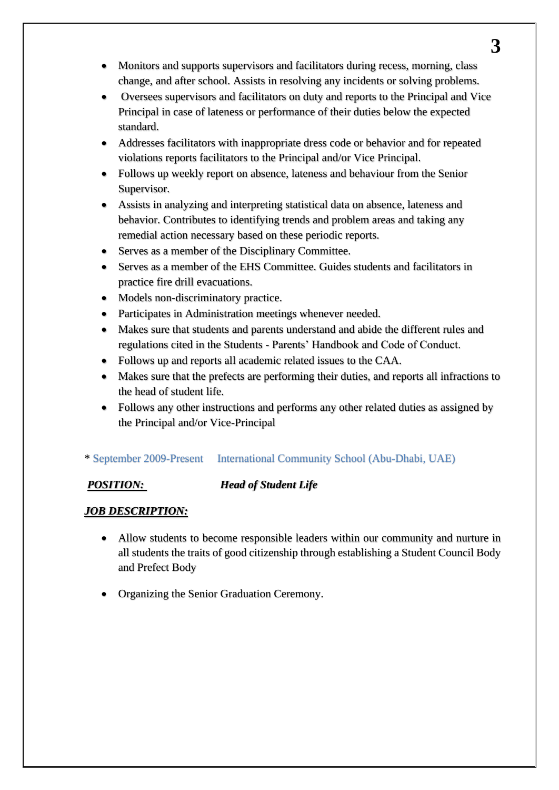- Monitors and supports supervisors and facilitators during recess, morning, class change, and after school. Assists in resolving any incidents or solving problems.
- Oversees supervisors and facilitators on duty and reports to the Principal and Vice Principal in case of lateness or performance of their duties below the expected standard.
- Addresses facilitators with inappropriate dress code or behavior and for repeated violations reports facilitators to the Principal and/or Vice Principal.
- Follows up weekly report on absence, lateness and behaviour from the Senior Supervisor.
- Assists in analyzing and interpreting statistical data on absence, lateness and behavior. Contributes to identifying trends and problem areas and taking any remedial action necessary based on these periodic reports.
- Serves as a member of the Disciplinary Committee.
- Serves as a member of the EHS Committee. Guides students and facilitators in practice fire drill evacuations.
- Models non-discriminatory practice.
- Participates in Administration meetings whenever needed.
- Makes sure that students and parents understand and abide the different rules and regulations cited in the Students - Parents' Handbook and Code of Conduct.
- Follows up and reports all academic related issues to the CAA.
- Makes sure that the prefects are performing their duties, and reports all infractions to the head of student life.
- Follows any other instructions and performs any other related duties as assigned by the Principal and/or Vice-Principal

## \* September 2009-Present International Community School (Abu-Dhabi, UAE)

## *POSITION: Head of Student Life*

## *JOB DESCRIPTION:*

- Allow students to become responsible leaders within our community and nurture in all students the traits of good citizenship through establishing a Student Council Body and Prefect Body
- Organizing the Senior Graduation Ceremony.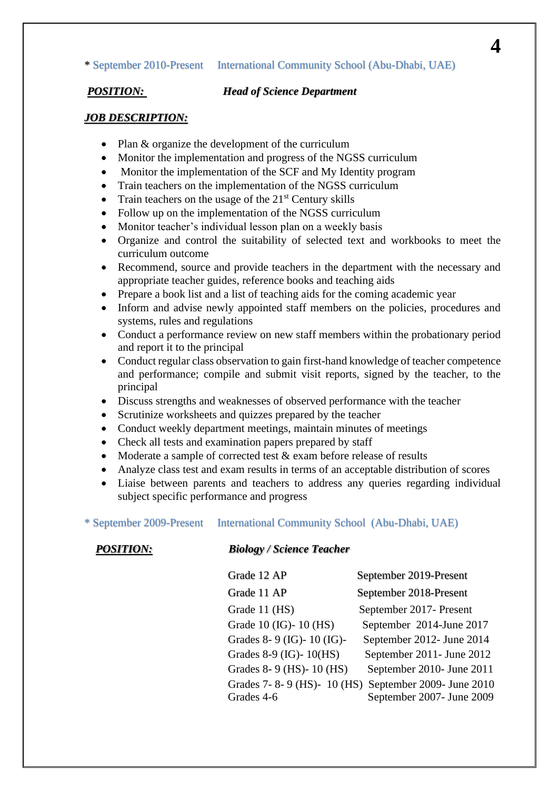### \* September 2010-Present International Community School (Abu-Dhabi, UAE)

### *POSITION: Head of Science Department*

### *JOB DESCRIPTION:*

- Plan & organize the development of the curriculum
- Monitor the implementation and progress of the NGSS curriculum
- Monitor the implementation of the SCF and My Identity program
- Train teachers on the implementation of the NGSS curriculum
- Train teachers on the usage of the  $21<sup>st</sup>$  Century skills
- Follow up on the implementation of the NGSS curriculum
- Monitor teacher's individual lesson plan on a weekly basis
- Organize and control the suitability of selected text and workbooks to meet the curriculum outcome
- Recommend, source and provide teachers in the department with the necessary and appropriate teacher guides, reference books and teaching aids
- Prepare a book list and a list of teaching aids for the coming academic year
- Inform and advise newly appointed staff members on the policies, procedures and systems, rules and regulations
- Conduct a performance review on new staff members within the probationary period and report it to the principal
- Conduct regular class observation to gain first-hand knowledge of teacher competence and performance; compile and submit visit reports, signed by the teacher, to the principal
- Discuss strengths and weaknesses of observed performance with the teacher
- Scrutinize worksheets and quizzes prepared by the teacher
- Conduct weekly department meetings, maintain minutes of meetings
- Check all tests and examination papers prepared by staff
- Moderate a sample of corrected test & exam before release of results
- Analyze class test and exam results in terms of an acceptable distribution of scores
- Liaise between parents and teachers to address any queries regarding individual subject specific performance and progress

### \* September 2009-Present International Community School (Abu-Dhabi, UAE)

### *POSITION: Biology / Science Teacher*

| Grade 12 AP              | September 2019-Present                              |
|--------------------------|-----------------------------------------------------|
| Grade 11 AP              | September 2018-Present                              |
| Grade 11 (HS)            | September 2017- Present                             |
| Grade 10 (IG)-10 (HS)    | September 2014-June 2017                            |
| Grades 8-9 (IG)-10 (IG)- | September 2012- June 2014                           |
| Grades 8-9 (IG)-10(HS)   | September 2011- June 2012                           |
| Grades 8-9 (HS)-10 (HS)  | September 2010- June 2011                           |
|                          | Grades 7-8-9 (HS)-10 (HS) September 2009- June 2010 |
| Grades 4-6               | September 2007- June 2009                           |

**4**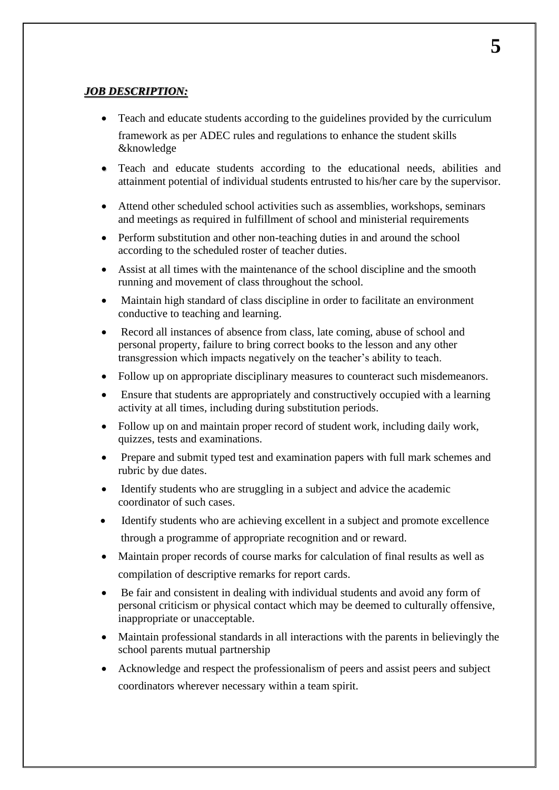### *JOB DESCRIPTION:*

- Teach and educate students according to the guidelines provided by the curriculum framework as per ADEC rules and regulations to enhance the student skills &knowledge
- Teach and educate students according to the educational needs, abilities and attainment potential of individual students entrusted to his/her care by the supervisor.
- Attend other scheduled school activities such as assemblies, workshops, seminars and meetings as required in fulfillment of school and ministerial requirements
- Perform substitution and other non-teaching duties in and around the school according to the scheduled roster of teacher duties.
- Assist at all times with the maintenance of the school discipline and the smooth running and movement of class throughout the school.
- Maintain high standard of class discipline in order to facilitate an environment conductive to teaching and learning.
- Record all instances of absence from class, late coming, abuse of school and personal property, failure to bring correct books to the lesson and any other transgression which impacts negatively on the teacher's ability to teach.
- Follow up on appropriate disciplinary measures to counteract such misdemeanors.
- Ensure that students are appropriately and constructively occupied with a learning activity at all times, including during substitution periods.
- Follow up on and maintain proper record of student work, including daily work, quizzes, tests and examinations.
- Prepare and submit typed test and examination papers with full mark schemes and rubric by due dates.
- Identify students who are struggling in a subject and advice the academic coordinator of such cases.
- Identify students who are achieving excellent in a subject and promote excellence through a programme of appropriate recognition and or reward.
- Maintain proper records of course marks for calculation of final results as well as compilation of descriptive remarks for report cards.
- Be fair and consistent in dealing with individual students and avoid any form of personal criticism or physical contact which may be deemed to culturally offensive, inappropriate or unacceptable.
- Maintain professional standards in all interactions with the parents in believingly the school parents mutual partnership
- Acknowledge and respect the professionalism of peers and assist peers and subject coordinators wherever necessary within a team spirit.